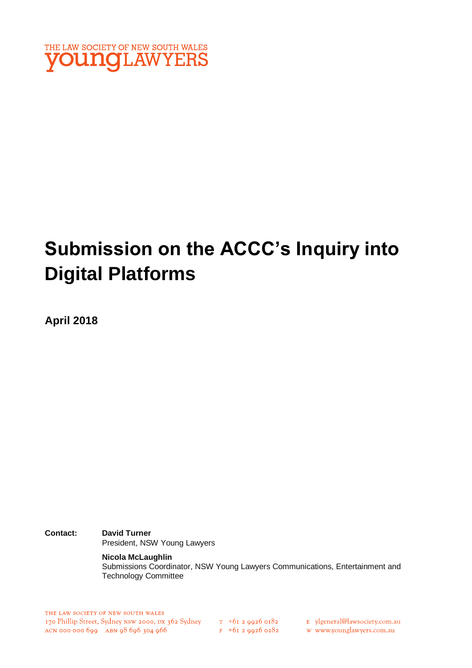

# **Submission on the ACCC's Inquiry into Digital Platforms**

**April 2018**

**Contact: David Turner**  President, NSW Young Lawyers

> **Nicola McLaughlin** Submissions Coordinator, NSW Young Lawyers Communications, Entertainment and Technology Committee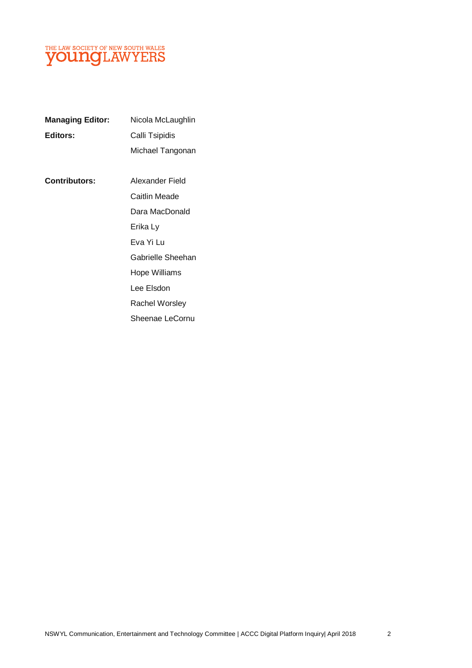

| <b>Managing Editor:</b> | Nicola McLaughlin     |
|-------------------------|-----------------------|
| Editors:                | Calli Tsipidis        |
|                         | Michael Tangonan      |
| <b>Contributors:</b>    | Alexander Field       |
|                         |                       |
|                         | Caitlin Meade         |
|                         | Dara MacDonald        |
|                         | Erika Ly              |
|                         | Eva Yi Lu             |
|                         | Gabrielle Sheehan     |
|                         | <b>Hope Williams</b>  |
|                         | Lee Elsdon            |
|                         | <b>Rachel Worsley</b> |
|                         | Sheenae LeCornu       |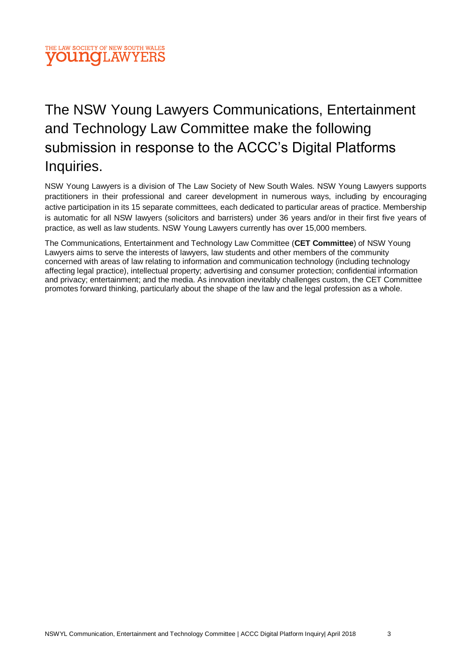

# The NSW Young Lawyers Communications, Entertainment and Technology Law Committee make the following submission in response to the ACCC's Digital Platforms Inquiries.

NSW Young Lawyers is a division of The Law Society of New South Wales. NSW Young Lawyers supports practitioners in their professional and career development in numerous ways, including by encouraging active participation in its 15 separate committees, each dedicated to particular areas of practice. Membership is automatic for all NSW lawyers (solicitors and barristers) under 36 years and/or in their first five years of practice, as well as law students. NSW Young Lawyers currently has over 15,000 members.

The Communications, Entertainment and Technology Law Committee (**CET Committee**) of NSW Young Lawyers aims to serve the interests of lawyers, law students and other members of the community concerned with areas of law relating to information and communication technology (including technology affecting legal practice), intellectual property; advertising and consumer protection; confidential information and privacy; entertainment; and the media. As innovation inevitably challenges custom, the CET Committee promotes forward thinking, particularly about the shape of the law and the legal profession as a whole.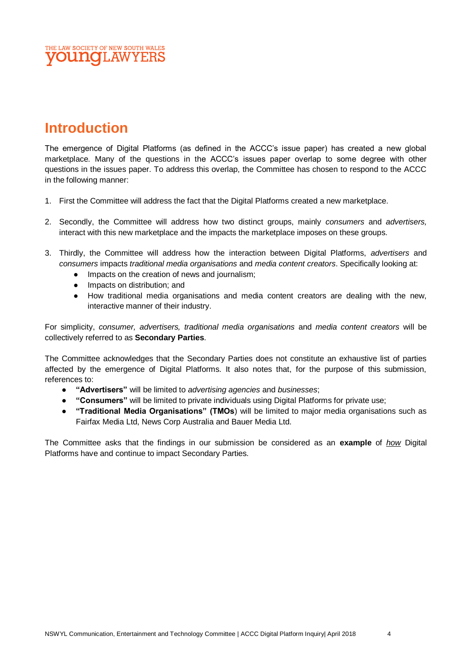# **Introduction**

The emergence of Digital Platforms (as defined in the ACCC's issue paper) has created a new global marketplace. Many of the questions in the ACCC's issues paper overlap to some degree with other questions in the issues paper. To address this overlap, the Committee has chosen to respond to the ACCC in the following manner:

- 1. First the Committee will address the fact that the Digital Platforms created a new marketplace.
- 2. Secondly, the Committee will address how two distinct groups, mainly *consumers* and *advertisers,* interact with this new marketplace and the impacts the marketplace imposes on these groups.
- 3. Thirdly, the Committee will address how the interaction between Digital Platforms, *advertisers* and *consumers* impacts *traditional media organisations* and *media content creators*. Specifically looking at:
	- Impacts on the creation of news and journalism;
	- Impacts on distribution; and
	- How traditional media organisations and media content creators are dealing with the new, interactive manner of their industry.

For simplicity, *consumer, advertisers, traditional media organisations* and *media content creators* will be collectively referred to as **Secondary Parties**.

The Committee acknowledges that the Secondary Parties does not constitute an exhaustive list of parties affected by the emergence of Digital Platforms. It also notes that, for the purpose of this submission, references to:

- **"Advertisers"** will be limited to *advertising agencies* and *businesses*;
- **"Consumers"** will be limited to private individuals using Digital Platforms for private use;
- **"Traditional Media Organisations" (TMOs**) will be limited to major media organisations such as Fairfax Media Ltd, News Corp Australia and Bauer Media Ltd.

The Committee asks that the findings in our submission be considered as an **example** of *how* Digital Platforms have and continue to impact Secondary Parties.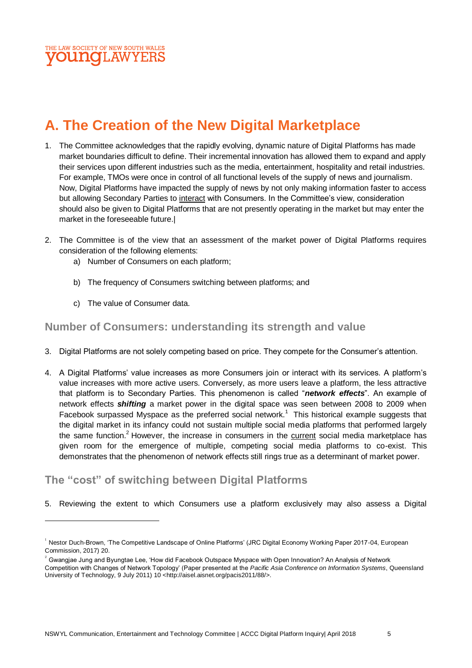

# **A. The Creation of the New Digital Marketplace**

- 1. The Committee acknowledges that the rapidly evolving, dynamic nature of Digital Platforms has made market boundaries difficult to define. Their incremental innovation has allowed them to expand and apply their services upon different industries such as the media, entertainment, hospitality and retail industries. For example, TMOs were once in control of all functional levels of the supply of news and journalism. Now, Digital Platforms have impacted the supply of news by not only making information faster to access but allowing Secondary Parties to interact with Consumers. In the Committee's view, consideration should also be given to Digital Platforms that are not presently operating in the market but may enter the market in the foreseeable future.|
- 2. The Committee is of the view that an assessment of the market power of Digital Platforms requires consideration of the following elements:
	- a) Number of Consumers on each platform;
	- b) The frequency of Consumers switching between platforms; and
	- c) The value of Consumer data.

 $\overline{a}$ 

#### **Number of Consumers: understanding its strength and value**

- 3. Digital Platforms are not solely competing based on price. They compete for the Consumer's attention.
- 4. A Digital Platforms' value increases as more Consumers join or interact with its services. A platform's value increases with more active users. Conversely, as more users leave a platform, the less attractive that platform is to Secondary Parties. This phenomenon is called "*network effects*". An example of network effects *shifting* a market power in the digital space was seen between 2008 to 2009 when Facebook surpassed Myspace as the preferred social network.<sup>1</sup> This historical example suggests that the digital market in its infancy could not sustain multiple social media platforms that performed largely the same function.<sup>2</sup> However, the increase in consumers in the current social media marketplace has given room for the emergence of multiple, competing social media platforms to co-exist. This demonstrates that the phenomenon of network effects still rings true as a determinant of market power.

### **The "cost" of switching between Digital Platforms**

5. Reviewing the extent to which Consumers use a platform exclusively may also assess a Digital

<sup>&</sup>lt;sup>1</sup> Nestor Duch-Brown, 'The Competitive Landscape of Online Platforms' (JRC Digital Economy Working Paper 2017-04, European Commission, 2017) 20.

<sup>2</sup> Gwangjae Jung and Byungtae Lee, 'How did Facebook Outspace Myspace with Open Innovation? An Analysis of Network

Competition with Changes of Network Topology' (Paper presented at the *Pacific Asia Conference on Information Systems*, Queensland University of Technology, 9 July 2011) 10 <http://aisel.aisnet.org/pacis2011/88/>.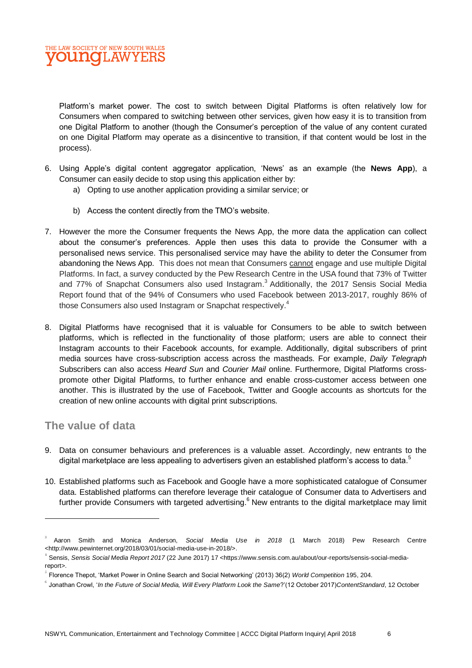

Platform's market power. The cost to switch between Digital Platforms is often relatively low for Consumers when compared to switching between other services, given how easy it is to transition from one Digital Platform to another (though the Consumer's perception of the value of any content curated on one Digital Platform may operate as a disincentive to transition, if that content would be lost in the process).

- 6. Using Apple's digital content aggregator application, 'News' as an example (the **News App**), a Consumer can easily decide to stop using this application either by:
	- a) Opting to use another application providing a similar service; or
	- b) Access the content directly from the TMO's website.
- 7. However the more the Consumer frequents the News App, the more data the application can collect about the consumer's preferences. Apple then uses this data to provide the Consumer with a personalised news service. This personalised service may have the ability to deter the Consumer from abandoning the News App. This does not mean that Consumers cannot engage and use multiple Digital Platforms. In fact, a survey conducted by the Pew Research Centre in the USA found that 73% of Twitter and 77% of Snapchat Consumers also used Instagram.<sup>3</sup> Additionally, the 2017 Sensis Social Media Report found that of the 94% of Consumers who used Facebook between 2013-2017, roughly 86% of those Consumers also used Instagram or Snapchat respectively.<sup>4</sup>
- 8. Digital Platforms have recognised that it is valuable for Consumers to be able to switch between platforms, which is reflected in the functionality of those platform; users are able to connect their Instagram accounts to their Facebook accounts, for example. Additionally, digital subscribers of print media sources have cross-subscription access across the mastheads. For example, *D*a*ily Telegraph*  Subscribers can also access *Heard Sun* and *Courier Mail* online. Furthermore, Digital Platforms crosspromote other Digital Platforms, to further enhance and enable cross-customer access between one another. This is illustrated by the use of Facebook, Twitter and Google accounts as shortcuts for the creation of new online accounts with digital print subscriptions.

#### **The value of data**

- 9. Data on consumer behaviours and preferences is a valuable asset. Accordingly, new entrants to the digital marketplace are less appealing to advertisers given an established platform's access to data.<sup>5</sup>
- 10. Established platforms such as Facebook and Google have a more sophisticated catalogue of Consumer data. Established platforms can therefore leverage their catalogue of Consumer data to Advertisers and further provide Consumers with targeted advertising.<sup>6</sup> New entrants to the digital marketplace may limit

<sup>3</sup> Aaron Smith and Monica Anderson, *Social Media Use in 2018* (1 March 2018) Pew Research Centre <http://www.pewinternet.org/2018/03/01/social-media-use-in-2018/>.

<sup>4</sup> Sensis, *Sensis Social Media Report 2017* (22 June 2017) 17 <https://www.sensis.com.au/about/our-reports/sensis-social-mediareport>.

<sup>5</sup> Florence Thepot, 'Market Power in Online Search and Social Networking' (2013) 36(2) *World Competition* 195, 204.

<sup>6</sup> Jonathan Crowl, '*In the Future of Social Media, Will Every Platform Look the Same*?'(12 October 2017)*ContentStandard*, 12 October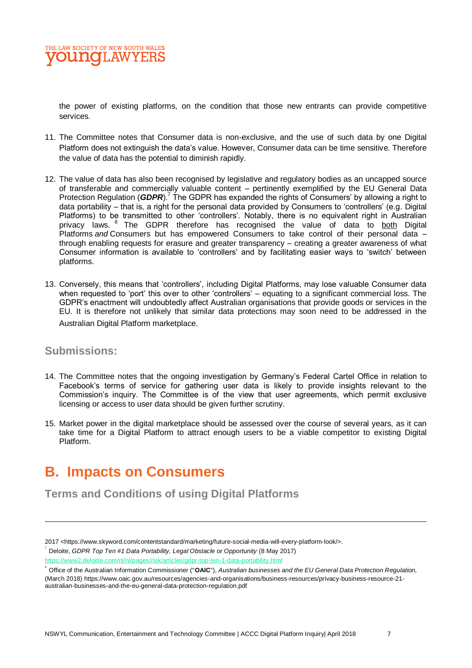the power of existing platforms, on the condition that those new entrants can provide competitive services.

- 11. The Committee notes that Consumer data is non-exclusive, and the use of such data by one Digital Platform does not extinguish the data's value. However, Consumer data can be time sensitive. Therefore the value of data has the potential to diminish rapidly.
- 12. The value of data has also been recognised by legislative and regulatory bodies as an uncapped source of transferable and commercially valuable content – pertinently exemplified by the EU General Data Protection Regulation (*GDPR*).<sup>7</sup> The GDPR has expanded the rights of Consumers' by allowing a right to data portability – that is, a right for the personal data provided by Consumers to 'controllers' (e.g. Digital Platforms) to be transmitted to other 'controllers'. Notably, there is no equivalent right in Australian privacy laws. <sup>8</sup> The GDPR therefore has recognised the value of data to both Digital Platforms *and* Consumers but has empowered Consumers to take control of their personal data – through enabling requests for erasure and greater transparency – creating a greater awareness of what Consumer information is available to 'controllers' and by facilitating easier ways to 'switch' between platforms.
- 13. Conversely, this means that 'controllers', including Digital Platforms, may lose valuable Consumer data when requested to 'port' this over to other 'controllers' – equating to a significant commercial loss. The GDPR's enactment will undoubtedly affect Australian organisations that provide goods or services in the EU. It is therefore not unlikely that similar data protections may soon need to be addressed in the Australian Digital Platform marketplace.

#### **Submissions:**

- 14. The Committee notes that the ongoing investigation by Germany's Federal Cartel Office in relation to Facebook's terms of service for gathering user data is likely to provide insights relevant to the Commission's inquiry. The Committee is of the view that user agreements, which permit exclusive licensing or access to user data should be given further scrutiny.
- 15. Market power in the digital marketplace should be assessed over the course of several years, as it can take time for a Digital Platform to attract enough users to be a viable competitor to existing Digital Platform.

# **B. Impacts on Consumers**

**Terms and Conditions of using Digital Platforms**

<sup>2017 &</sup>lt;https://www.skyword.com/contentstandard/marketing/future-social-media-will-every-platform-look/>.<br><sup>7</sup> P J Y - QPPP T - T - "/ / P / P - / / <sup>17</sup> - / - / O - / - / - Q - / - / - / - (9 M - 9947)

Deloite, *GDPR Top Ten #1 Data Portability, Legal Obstacle or Opportunity* (8 May 2017)

<https://www2.deloitte.com/nl/nl/pages/risk/articles/gdpr-top-ten-1-data-portability.html>

<sup>8</sup> Office of the Australian Information Commissioner ("**OAIC**"), *Australian businesses and the EU General Data Protection Regulation,*  (March 2018) https://www.oaic.gov.au/resources/agencies-and-organisations/business-resources/privacy-business-resource-21 australian-businesses-and-the-eu-general-data-protection-regulation.pdf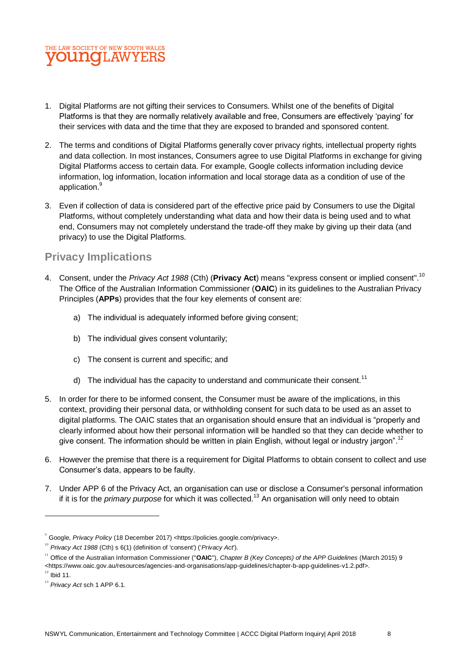

- 1. Digital Platforms are not gifting their services to Consumers. Whilst one of the benefits of Digital Platforms is that they are normally relatively available and free, Consumers are effectively 'paying' for their services with data and the time that they are exposed to branded and sponsored content.
- 2. The terms and conditions of Digital Platforms generally cover privacy rights, intellectual property rights and data collection. In most instances, Consumers agree to use Digital Platforms in exchange for giving Digital Platforms access to certain data. For example, Google collects information including device information, log information, location information and local storage data as a condition of use of the application.<sup>9</sup>
- 3. Even if collection of data is considered part of the effective price paid by Consumers to use the Digital Platforms, without completely understanding what data and how their data is being used and to what end, Consumers may not completely understand the trade-off they make by giving up their data (and privacy) to use the Digital Platforms.

### **Privacy Implications**

- 4. Consent, under the *Privacy Act 1988* (Cth) (**Privacy Act**) means "express consent or implied consent".<sup>10</sup> The Office of the Australian Information Commissioner (**OAIC**) in its guidelines to the Australian Privacy Principles (**APPs**) provides that the four key elements of consent are:
	- a) The individual is adequately informed before giving consent;
	- b) The individual gives consent voluntarily;
	- c) The consent is current and specific; and
	- d) The individual has the capacity to understand and communicate their consent.<sup>11</sup>
- 5. In order for there to be informed consent, the Consumer must be aware of the implications, in this context, providing their personal data, or withholding consent for such data to be used as an asset to digital platforms. The OAIC states that an organisation should ensure that an individual is "properly and clearly informed about how their personal information will be handled so that they can decide whether to give consent. The information should be written in plain English, without legal or industry jargon".<sup>12</sup>
- 6. However the premise that there is a requirement for Digital Platforms to obtain consent to collect and use Consumer's data, appears to be faulty.
- 7. Under APP 6 of the Privacy Act, an organisation can use or disclose a Consumer's personal information if it is for the *primary purpose* for which it was collected.<sup>13</sup> An organisation will only need to obtain

<sup>&</sup>lt;sup>9</sup> Google, *Privacy Policy* (18 December 2017) <https://policies.google.com/privacy>.

<sup>&</sup>lt;sup>10</sup> *Privacy Act 1988* (Cth) s 6(1) (definition of 'consent') ('*Privacy Act*').

<sup>11</sup> Office of the Australian Information Commissioner ("**OAIC**"), *Chapter B (Key Concepts) of the APP Guidelines* (March 2015) 9 <https://www.oaic.gov.au/resources/agencies-and-organisations/app-guidelines/chapter-b-app-guidelines-v1.2.pdf>.

 $^{12}$  Ibid 11.

<sup>&</sup>lt;sup>13</sup> Privacy Act sch 1 APP 6.1.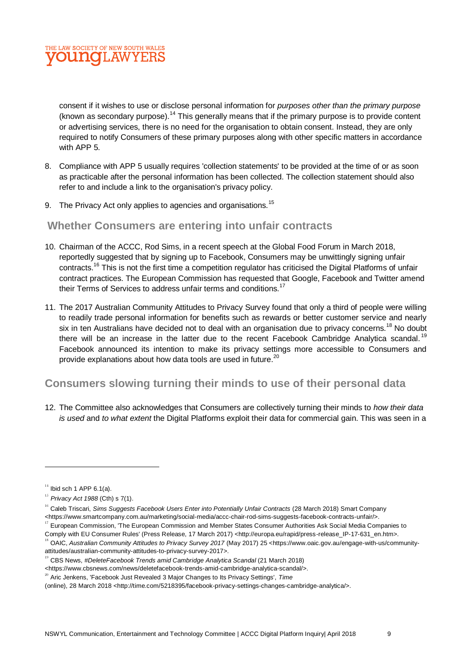

consent if it wishes to use or disclose personal information for *purposes other than the primary purpose* (known as secondary purpose).<sup>14</sup> This generally means that if the primary purpose is to provide content or advertising services, there is no need for the organisation to obtain consent. Instead, they are only required to notify Consumers of these primary purposes along with other specific matters in accordance with APP 5.

- 8. Compliance with APP 5 usually requires 'collection statements' to be provided at the time of or as soon as practicable after the personal information has been collected. The collection statement should also refer to and include a link to the organisation's privacy policy.
- 9. The Privacy Act only applies to agencies and organisations.<sup>15</sup>

#### **Whether Consumers are entering into unfair contracts**

- 10. Chairman of the ACCC, Rod Sims, in a recent speech at the Global Food Forum in March 2018, reportedly suggested that by signing up to Facebook, Consumers may be unwittingly signing unfair contracts.<sup>16</sup> This is not the first time a competition regulator has criticised the Digital Platforms of unfair contract practices. The European Commission has requested that Google, Facebook and Twitter amend their Terms of Services to address unfair terms and conditions.<sup>17</sup>
- 11. The 2017 Australian Community Attitudes to Privacy Survey found that only a third of people were willing to readily trade personal information for benefits such as rewards or better customer service and nearly six in ten Australians have decided not to deal with an organisation due to privacy concerns.<sup>18</sup> No doubt there will be an increase in the latter due to the recent Facebook Cambridge Analytica scandal.<sup>19</sup> Facebook announced its intention to make its privacy settings more accessible to Consumers and provide explanations about how data tools are used in future.<sup>20</sup>

### **Consumers slowing turning their minds to use of their personal data**

12. The Committee also acknowledges that Consumers are collectively turning their minds to *how their data is used* and *to what extent* the Digital Platforms exploit their data for commercial gain. This was seen in a

 $\overline{a}$ 

 $^7$  European Commission, 'The European Commission and Member States Consumer Authorities Ask Social Media Companies to Comply with EU Consumer Rules' (Press Release, 17 March 2017) <http://europa.eu/rapid/press-release\_IP-17-631\_en.htm>.

<sup>19</sup> CBS News, #DeleteFacebook Trends amid Cambridge Analytica Scandal (21 March 2018)

<sup>20</sup> Aric Jenkens, 'Facebook Just Revealed 3 Major Changes to Its Privacy Settings', *Time*

 $14$  Ibid sch 1 APP 6.1(a).

<sup>15</sup> *Privacy Act 1988* (Cth) s 7(1).

<sup>&</sup>lt;sup>16</sup> Caleb Triscari, *Sims Suggests Facebook Users Enter into Potentially Unfair Contracts* (28 March 2018) Smart Company <https://www.smartcompany.com.au/marketing/social-media/accc-chair-rod-sims-suggests-facebook-contracts-unfair/>.

<sup>18</sup> OAIC, *Australian Community Attitudes to Privacy Survey 2017* (May 2017) 25 <https://www.oaic.gov.au/engage-with-us/communityattitudes/australian-community-attitudes-to-privacy-survey-2017>.

<sup>&</sup>lt;https://www.cbsnews.com/news/deletefacebook-trends-amid-cambridge-analytica-scandal/>.

<sup>(</sup>online), 28 March 2018 <http://time.com/5218395/facebook-privacy-settings-changes-cambridge-analytica/>.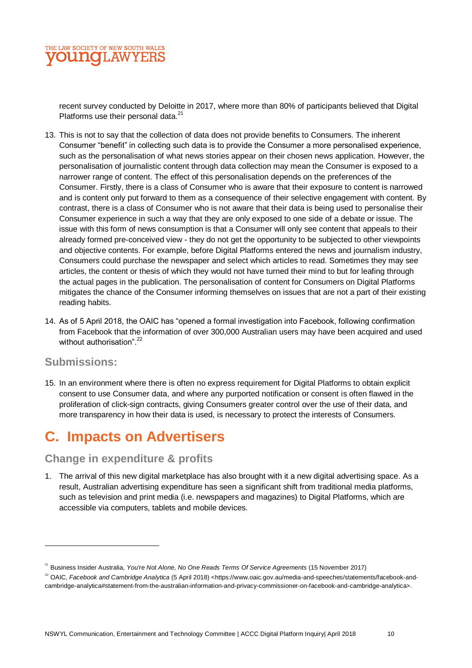

recent survey conducted by Deloitte in 2017, where more than 80% of participants believed that Digital Platforms use their personal data.<sup>21</sup>

- 13. This is not to say that the collection of data does not provide benefits to Consumers. The inherent Consumer "benefit" in collecting such data is to provide the Consumer a more personalised experience, such as the personalisation of what news stories appear on their chosen news application. However, the personalisation of journalistic content through data collection may mean the Consumer is exposed to a narrower range of content. The effect of this personalisation depends on the preferences of the Consumer. Firstly, there is a class of Consumer who is aware that their exposure to content is narrowed and is content only put forward to them as a consequence of their selective engagement with content. By contrast, there is a class of Consumer who is not aware that their data is being used to personalise their Consumer experience in such a way that they are only exposed to one side of a debate or issue. The issue with this form of news consumption is that a Consumer will only see content that appeals to their already formed pre-conceived view - they do not get the opportunity to be subjected to other viewpoints and objective contents. For example, before Digital Platforms entered the news and journalism industry, Consumers could purchase the newspaper and select which articles to read. Sometimes they may see articles, the content or thesis of which they would not have turned their mind to but for leafing through the actual pages in the publication. The personalisation of content for Consumers on Digital Platforms mitigates the chance of the Consumer informing themselves on issues that are not a part of their existing reading habits.
- 14. As of 5 April 2018, the OAIC has "opened a formal investigation into Facebook, following confirmation from Facebook that the information of over 300,000 Australian users may have been acquired and used without authorisation".<sup>22</sup>

#### **Submissions:**

 $\overline{a}$ 

15. In an environment where there is often no express requirement for Digital Platforms to obtain explicit consent to use Consumer data, and where any purported notification or consent is often flawed in the proliferation of click-sign contracts, giving Consumers greater control over the use of their data, and more transparency in how their data is used, is necessary to protect the interests of Consumers.

# **C. Impacts on Advertisers**

#### **Change in expenditure & profits**

1. The arrival of this new digital marketplace has also brought with it a new digital advertising space. As a result, Australian advertising expenditure has seen a significant shift from traditional media platforms, such as television and print media (i.e. newspapers and magazines) to Digital Platforms, which are accessible via computers, tablets and mobile devices.

<sup>&</sup>lt;sup>21</sup> Business Insider Australia, *You're Not Alone, No One Reads Terms Of Service Agreements* (15 November 2017)

<sup>&</sup>lt;sup>22</sup> OAIC, *Facebook and Cambridge Analytica* (5 April 2018) <https://www.oaic.gov.au/media-and-speeches/statements/facebook-andcambridge-analytica#statement-from-the-australian-information-and-privacy-commissioner-on-facebook-and-cambridge-analytica>.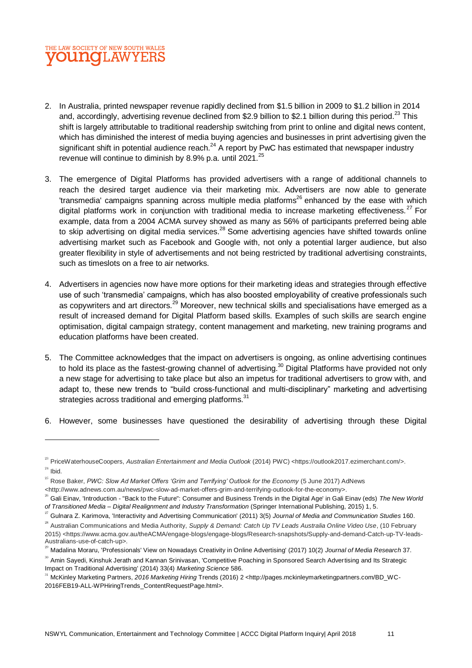### THE LAW SOCIETY OF NEW SOUTH WALES **DU NOT. AW YERS**

- 2. In Australia, printed newspaper revenue rapidly declined from \$1.5 billion in 2009 to \$1.2 billion in 2014 and, accordingly, advertising revenue declined from \$2.9 billion to \$2.1 billion during this period.<sup>23</sup> This shift is largely attributable to traditional readership switching from print to online and digital news content, which has diminished the interest of media buying agencies and businesses in print advertising given the significant shift in potential audience reach. $^{24}$  A report by PwC has estimated that newspaper industry revenue will continue to diminish by 8.9% p.a. until 2021. $^{25}$
- 3. The emergence of Digital Platforms has provided advertisers with a range of additional channels to reach the desired target audience via their marketing mix. Advertisers are now able to generate 'transmedia' campaigns spanning across multiple media platforms<sup>26</sup> enhanced by the ease with which digital platforms work in conjunction with traditional media to increase marketing effectiveness. $27$  For example, data from a 2004 ACMA survey showed as many as 56% of participants preferred being able to skip advertising on digital media services.<sup>28</sup> Some advertising agencies have shifted towards online advertising market such as Facebook and Google with, not only a potential larger audience, but also greater flexibility in style of advertisements and not being restricted by traditional advertising constraints, such as timeslots on a free to air networks.
- 4. Advertisers in agencies now have more options for their marketing ideas and strategies through effective use of such 'transmedia' campaigns, which has also boosted employability of creative professionals such as copywriters and art directors.<sup>29</sup> Moreover, new technical skills and specialisations have emerged as a result of increased demand for Digital Platform based skills. Examples of such skills are search engine optimisation, digital campaign strategy, content management and marketing, new training programs and education platforms have been created.
- 5. The Committee acknowledges that the impact on advertisers is ongoing, as online advertising continues to hold its place as the fastest-growing channel of advertising.<sup>30</sup> Digital Platforms have provided not only a new stage for advertising to take place but also an impetus for traditional advertisers to grow with, and adapt to, these new trends to "build cross-functional and multi-disciplinary" marketing and advertising strategies across traditional and emerging platforms.<sup>31</sup>
- 6. However, some businesses have questioned the desirability of advertising through these Digital

<sup>&</sup>lt;sup>23</sup> PriceWaterhouseCoopers, *Australian Entertainment and Media Outlook* (2014) PWC) <https://outlook2017.ezimerchant.com/>.  $^{24}$  Ibid.

<sup>&</sup>lt;sup>25</sup> Rose Baker, PWC: Slow Ad Market Offers 'Grim and Terrifying' Outlook for the Economy (5 June 2017) AdNews

<sup>&</sup>lt;http://www.adnews.com.au/news/pwc-slow-ad-market-offers-grim-and-terrifying-outlook-for-the-economy>.

<sup>26</sup> Gali Einav, 'Introduction - "Back to the Future": Consumer and Business Trends in the Digital Age' in Gali Einav (eds) *The New World of Transitioned Media – Digital Realignment and Industry Transformation* (Springer International Publishing, 2015) 1, 5.

<sup>27</sup> Gulnara Z. Karimova, 'Interactivity and Advertising Communication' (2011) 3(5) *Journal of Media and Communication Studies* 160.

<sup>&</sup>lt;sup>28</sup> Australian Communications and Media Authority, Supply & Demand: Catch Up TV Leads Australia Online Video Use, (10 February 2015) <https://www.acma.gov.au/theACMA/engage-blogs/engage-blogs/Research-snapshots/Supply-and-demand-Catch-up-TV-leads-Australians-use-of-catch-up>.

<sup>29</sup> Madalina Moraru, 'Professionals' View on Nowadays Creativity in Online Advertising' (2017) 10(2) *Journal of Media Research* 37.

<sup>&</sup>lt;sup>30</sup> Amin Sayedi, Kinshuk Jerath and Kannan Srinivasan, 'Competitive Poaching in Sponsored Search Advertising and Its Strategic Impact on Traditional Advertising' (2014) 33(4) *Marketing Science* 586.

<sup>31</sup> McKinley Marketing Partners, *2016 Marketing Hiring* Trends (2016) 2 <http://pages.mckinleymarketingpartners.com/BD\_WC-2016FEB19-ALL-WPHiringTrends\_ContentRequestPage.html>.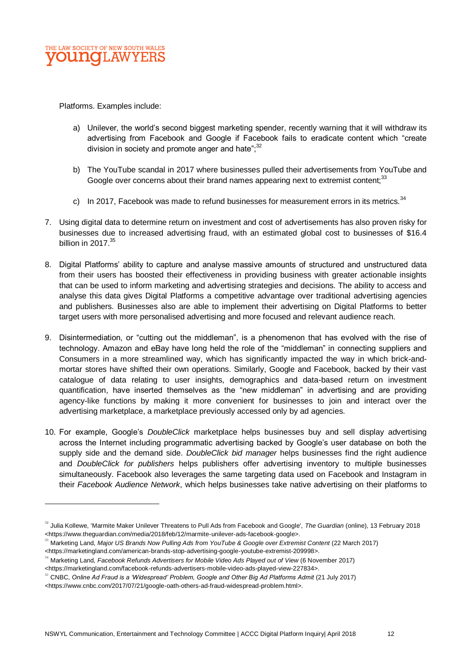

Platforms. Examples include:

 $\overline{a}$ 

- a) Unilever, the world's second biggest marketing spender, recently warning that it will withdraw its advertising from Facebook and Google if Facebook fails to eradicate content which "create division in society and promote anger and hate"; $^{32}$
- b) The YouTube scandal in 2017 where businesses pulled their advertisements from YouTube and Google over concerns about their brand names appearing next to extremist content:<sup>33</sup>
- c) In 2017, Facebook was made to refund businesses for measurement errors in its metrics.  $34$
- 7. Using digital data to determine return on investment and cost of advertisements has also proven risky for businesses due to increased advertising fraud, with an estimated global cost to businesses of \$16.4 billion in  $2017.<sup>35</sup>$
- 8. Digital Platforms' ability to capture and analyse massive amounts of structured and unstructured data from their users has boosted their effectiveness in providing business with greater actionable insights that can be used to inform marketing and advertising strategies and decisions. The ability to access and analyse this data gives Digital Platforms a competitive advantage over traditional advertising agencies and publishers. Businesses also are able to implement their advertising on Digital Platforms to better target users with more personalised advertising and more focused and relevant audience reach.
- 9. Disintermediation, or "cutting out the middleman", is a phenomenon that has evolved with the rise of technology. Amazon and eBay have long held the role of the "middleman" in connecting suppliers and Consumers in a more streamlined way, which has significantly impacted the way in which brick-andmortar stores have shifted their own operations. Similarly, Google and Facebook, backed by their vast catalogue of data relating to user insights, demographics and data-based return on investment quantification, have inserted themselves as the "new middleman" in advertising and are providing agency-like functions by making it more convenient for businesses to join and interact over the advertising marketplace, a marketplace previously accessed only by ad agencies.
- 10. For example, Google's *DoubleClick* marketplace helps businesses buy and sell display advertising across the Internet including programmatic advertising backed by Google's user database on both the supply side and the demand side. *DoubleClick bid manager* helps businesses find the right audience and *DoubleClick for publishers* helps publishers offer advertising inventory to multiple businesses simultaneously. Facebook also leverages the same targeting data used on Facebook and Instagram in their *Facebook Audience Network*, which helps businesses take native advertising on their platforms to

<sup>32</sup> Julia Kollewe, 'Marmite Maker Unilever Threatens to Pull Ads from Facebook and Google', *The Guardian* (online), 13 February 2018 <https://www.theguardian.com/media/2018/feb/12/marmite-unilever-ads-facebook-google>.

<sup>33</sup> Marketing Land, *Major US Brands Now Pulling Ads from YouTube & Google over Extremist Content* (22 March 2017) <https://marketingland.com/american-brands-stop-advertising-google-youtube-extremist-209998>.

<sup>34</sup> Marketing Land, *Facebook Refunds Advertisers for Mobile Video Ads Played out of View* (6 November 2017) <https://marketingland.com/facebook-refunds-advertisers-mobile-video-ads-played-view-227834>.

<sup>&</sup>lt;sup>35</sup> CNBC, Online Ad Fraud is a 'Widespread' Problem, Google and Other Big Ad Platforms Admit (21 July 2017)

<sup>&</sup>lt;https://www.cnbc.com/2017/07/21/google-oath-others-ad-fraud-widespread-problem.html>.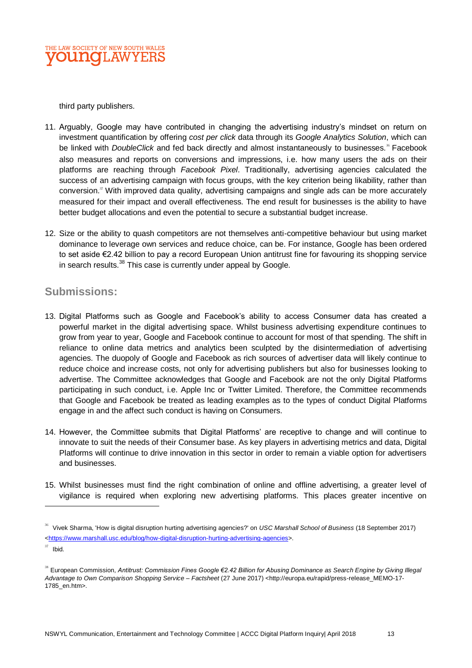

third party publishers.

- 11. Arguably, Google may have contributed in changing the advertising industry's mindset on return on investment quantification by offering *cost per click* data through its *Google Analytics Solution*, which can be linked with *DoubleClick* and fed back directly and almost instantaneously to businesses.<sup>36</sup> Facebook also measures and reports on conversions and impressions, i.e. how many users the ads on their platforms are reaching through *Facebook Pixel*. Traditionally, advertising agencies calculated the success of an advertising campaign with focus groups, with the key criterion being likability, rather than conversion.<sup>37</sup> With improved data quality, advertising campaigns and single ads can be more accurately measured for their impact and overall effectiveness. The end result for businesses is the ability to have better budget allocations and even the potential to secure a substantial budget increase.
- 12. Size or the ability to quash competitors are not themselves anti-competitive behaviour but using market dominance to leverage own services and reduce choice, can be. For instance, Google has been ordered to set aside €2.42 billion to pay a record European Union antitrust fine for favouring its shopping service in search results.<sup>38</sup> This case is currently under appeal by Google.

### **Submissions:**

- 13. Digital Platforms such as Google and Facebook's ability to access Consumer data has created a powerful market in the digital advertising space. Whilst business advertising expenditure continues to grow from year to year, Google and Facebook continue to account for most of that spending. The shift in reliance to online data metrics and analytics been sculpted by the disintermediation of advertising agencies. The duopoly of Google and Facebook as rich sources of advertiser data will likely continue to reduce choice and increase costs, not only for advertising publishers but also for businesses looking to advertise. The Committee acknowledges that Google and Facebook are not the only Digital Platforms participating in such conduct, i.e. Apple Inc or Twitter Limited. Therefore, the Committee recommends that Google and Facebook be treated as leading examples as to the types of conduct Digital Platforms engage in and the affect such conduct is having on Consumers.
- 14. However, the Committee submits that Digital Platforms' are receptive to change and will continue to innovate to suit the needs of their Consumer base. As key players in advertising metrics and data, Digital Platforms will continue to drive innovation in this sector in order to remain a viable option for advertisers and businesses.
- 15. Whilst businesses must find the right combination of online and offline advertising, a greater level of vigilance is required when exploring new advertising platforms. This places greater incentive on

<sup>36</sup> Vivek Sharma, 'How is digital disruption hurting advertising agencies?' on *USC Marshall School of Business* (18 September 2017) [<https://www.marshall.usc.edu/blog/how-digital-disruption-hurting-advertising-agencies>](https://www.marshall.usc.edu/blog/how-digital-disruption-hurting-advertising-agencies).

 $37$  Ibid.

<sup>&</sup>lt;sup>38</sup> European Commission, Antitrust: Commission Fines Google €2.42 Billion for Abusing Dominance as Search Engine by Giving Illegal *Advantage to Own Comparison Shopping Service – Factsheet* (27 June 2017) <http://europa.eu/rapid/press-release\_MEMO-17- 1785\_en.htm>.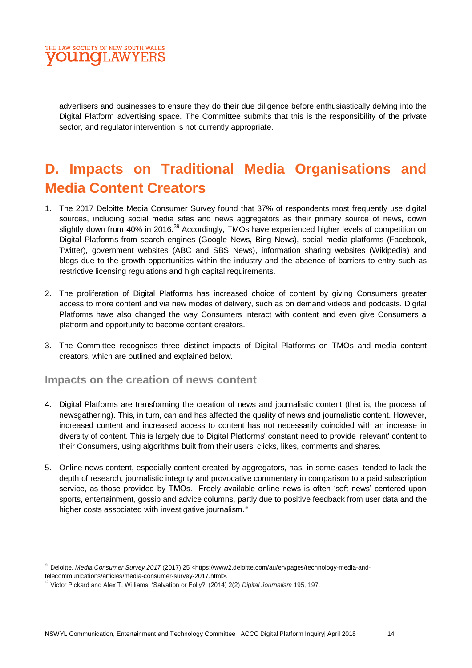

advertisers and businesses to ensure they do their due diligence before enthusiastically delving into the Digital Platform advertising space. The Committee submits that this is the responsibility of the private sector, and regulator intervention is not currently appropriate.

# **D. Impacts on Traditional Media Organisations and Media Content Creators**

- 1. The 2017 Deloitte Media Consumer Survey found that 37% of respondents most frequently use digital sources, including social media sites and news aggregators as their primary source of news, down slightly down from 40% in 2016.<sup>39</sup> Accordingly, TMOs have experienced higher levels of competition on Digital Platforms from search engines (Google News, Bing News), social media platforms (Facebook, Twitter), government websites (ABC and SBS News), information sharing websites (Wikipedia) and blogs due to the growth opportunities within the industry and the absence of barriers to entry such as restrictive licensing regulations and high capital requirements.
- 2. The proliferation of Digital Platforms has increased choice of content by giving Consumers greater access to more content and via new modes of delivery, such as on demand videos and podcasts. Digital Platforms have also changed the way Consumers interact with content and even give Consumers a platform and opportunity to become content creators.
- 3. The Committee recognises three distinct impacts of Digital Platforms on TMOs and media content creators, which are outlined and explained below.

#### **Impacts on the creation of news content**

 $\overline{a}$ 

- 4. Digital Platforms are transforming the creation of news and journalistic content (that is, the process of newsgathering). This, in turn, can and has affected the quality of news and journalistic content. However, increased content and increased access to content has not necessarily coincided with an increase in diversity of content. This is largely due to Digital Platforms' constant need to provide 'relevant' content to their Consumers, using algorithms built from their users' clicks, likes, comments and shares.
- 5. Online news content, especially content created by aggregators, has, in some cases, tended to lack the depth of research, journalistic integrity and provocative commentary in comparison to a paid subscription service, as those provided by TMOs. Freely available online news is often 'soft news' centered upon sports, entertainment, gossip and advice columns, partly due to positive feedback from user data and the higher costs associated with investigative journalism.<sup>40</sup>

<sup>39</sup> Deloitte, *Media Consumer Survey 2017* (2017) 25 <https://www2.deloitte.com/au/en/pages/technology-media-andtelecommunications/articles/media-consumer-survey-2017.html>.

<sup>40</sup> Victor Pickard and Alex T. Williams, 'Salvation or Folly?' (2014) 2(2) *Digital Journalism* 195, 197.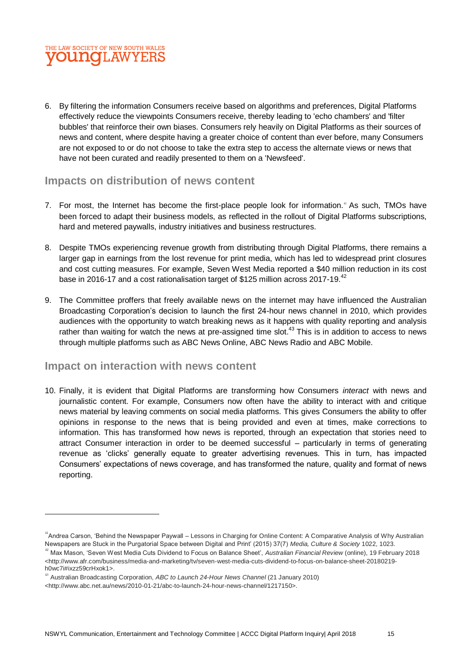## THE LAW SOCIETY OF NEW SOUTH WALES **OU NOT AWYERS**

6. By filtering the information Consumers receive based on algorithms and preferences, Digital Platforms effectively reduce the viewpoints Consumers receive, thereby leading to 'echo chambers' and 'filter bubbles' that reinforce their own biases. Consumers rely heavily on Digital Platforms as their sources of news and content, where despite having a greater choice of content than ever before, many Consumers are not exposed to or do not choose to take the extra step to access the alternate views or news that have not been curated and readily presented to them on a 'Newsfeed'.

### **Impacts on distribution of news content**

- 7. For most, the Internet has become the first-place people look for information.<sup>4</sup> As such, TMOs have been forced to adapt their business models, as reflected in the rollout of Digital Platforms subscriptions, hard and metered paywalls, industry initiatives and business restructures.
- 8. Despite TMOs experiencing revenue growth from distributing through Digital Platforms, there remains a larger gap in earnings from the lost revenue for print media, which has led to widespread print closures and cost cutting measures. For example, Seven West Media reported a \$40 million reduction in its cost base in 2016-17 and a cost rationalisation target of \$125 million across 2017-19.<sup>42</sup>
- 9. The Committee proffers that freely available news on the internet may have influenced the Australian Broadcasting Corporation's decision to launch the first 24-hour news channel in 2010, which provides audiences with the opportunity to watch breaking news as it happens with quality reporting and analysis rather than waiting for watch the news at pre-assigned time slot.<sup>43</sup> This is in addition to access to news through multiple platforms such as ABC News Online, ABC News Radio and ABC Mobile.

### **Impact on interaction with news content**

 $\overline{a}$ 

10. Finally, it is evident that Digital Platforms are transforming how Consumers *interact* with news and journalistic content. For example, Consumers now often have the ability to interact with and critique news material by leaving comments on social media platforms. This gives Consumers the ability to offer opinions in response to the news that is being provided and even at times, make corrections to information. This has transformed how news is reported, through an expectation that stories need to attract Consumer interaction in order to be deemed successful – particularly in terms of generating revenue as 'clicks' generally equate to greater advertising revenues. This in turn, has impacted Consumers' expectations of news coverage, and has transformed the nature, quality and format of news reporting.

<sup>&</sup>lt;sup>41</sup> Andrea Carson, 'Behind the Newspaper Paywall – Lessons in Charging for Online Content: A Comparative Analysis of Why Australian Newspapers are Stuck in the Purgatorial Space between Digital and Print' (2015) 37(7) *Media, Culture & Society* 1022, 1023.

<sup>42</sup> Max Mason, 'Seven West Media Cuts Dividend to Focus on Balance Sheet', *Australian Financial Review* (online), 19 February 2018 [<http://www.afr.com/business/media-and-marketing/tv/seven-west-media-cuts-dividend-to-focus-on-balance-sheet-20180219](http://www.afr.com/business/media-and-marketing/tv/seven-west-media-cuts-dividend-to-focus-on-balance-sheet-20180219-h0wc7i#ixzz59crHxok1) [h0wc7i#ixzz59crHxok1>](http://www.afr.com/business/media-and-marketing/tv/seven-west-media-cuts-dividend-to-focus-on-balance-sheet-20180219-h0wc7i#ixzz59crHxok1).

<sup>43</sup> Australian Broadcasting Corporation, *ABC to Launch 24-Hour News Channel* (21 January 2010)

<sup>&</sup>lt;http://www.abc.net.au/news/2010-01-21/abc-to-launch-24-hour-news-channel/1217150>.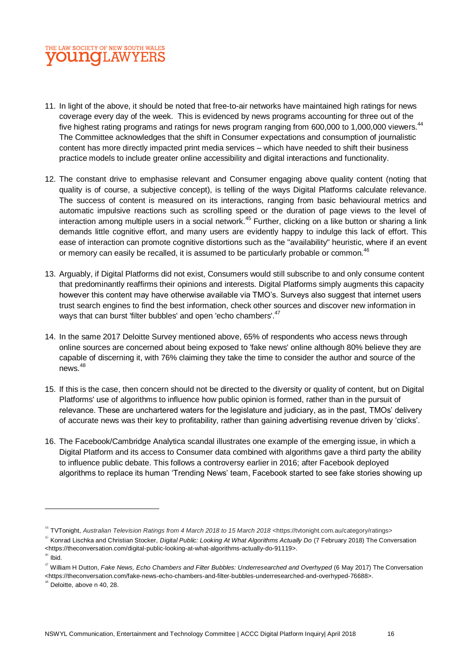

- 11. In light of the above, it should be noted that free-to-air networks have maintained high ratings for news coverage every day of the week. This is evidenced by news programs accounting for three out of the five highest rating programs and ratings for news program ranging from 600,000 to 1,000,000 viewers.<sup>44</sup> The Committee acknowledges that the shift in Consumer expectations and consumption of journalistic content has more directly impacted print media services – which have needed to shift their business practice models to include greater online accessibility and digital interactions and functionality.
- 12. The constant drive to emphasise relevant and Consumer engaging above quality content (noting that quality is of course, a subjective concept), is telling of the ways Digital Platforms calculate relevance. The success of content is measured on its interactions, ranging from basic behavioural metrics and automatic impulsive reactions such as scrolling speed or the duration of page views to the level of interaction among multiple users in a social network.<sup>45</sup> Further, clicking on a like button or sharing a link demands little cognitive effort, and many users are evidently happy to indulge this lack of effort. This ease of interaction can promote cognitive distortions such as the "availability" heuristic, where if an event or memory can easily be recalled, it is assumed to be particularly probable or common.<sup>46</sup>
- 13. Arguably, if Digital Platforms did not exist, Consumers would still subscribe to and only consume content that predominantly reaffirms their opinions and interests. Digital Platforms simply augments this capacity however this content may have otherwise available via TMO's. Surveys also suggest that internet users trust search engines to find the best information, check other sources and discover new information in ways that can burst 'filter bubbles' and open 'echo chambers'.<sup>47</sup>
- 14. In the same 2017 Deloitte Survey mentioned above, 65% of respondents who access news through online sources are concerned about being exposed to 'fake news' online although 80% believe they are capable of discerning it, with 76% claiming they take the time to consider the author and source of the news<sup>48</sup>
- 15. If this is the case, then concern should not be directed to the diversity or quality of content, but on Digital Platforms' use of algorithms to influence how public opinion is formed, rather than in the pursuit of relevance. These are unchartered waters for the legislature and judiciary, as in the past, TMOs' delivery of accurate news was their key to profitability, rather than gaining advertising revenue driven by 'clicks'.
- 16. The Facebook/Cambridge Analytica scandal illustrates one example of the emerging issue, in which a Digital Platform and its access to Consumer data combined with algorithms gave a third party the ability to influence public debate. This follows a controversy earlier in 2016; after Facebook deployed algorithms to replace its human 'Trending News' team, Facebook started to see fake stories showing up

<sup>44</sup> TVTonight, *Australian Television Ratings from 4 March 2018 to 15 March 2018* <https://tvtonight.com.au/category/ratings>

<sup>45</sup> Konrad Lischka and Christian Stocker, *Digital Public: Looking At What Algorithms Actually Do* (7 February 2018) The Conversation <https://theconversation.com/digital-public-looking-at-what-algorithms-actually-do-91119>.

 $^{46}$  Ibid.

<sup>&</sup>lt;sup>47</sup> William H Dutton, Fake News, Echo Chambers and Filter Bubbles: Underresearched and Overhyped (6 May 2017) The Conversation <https://theconversation.com/fake-news-echo-chambers-and-filter-bubbles-underresearched-and-overhyped-76688>.

 $48$  Deloitte, above n 40, 28.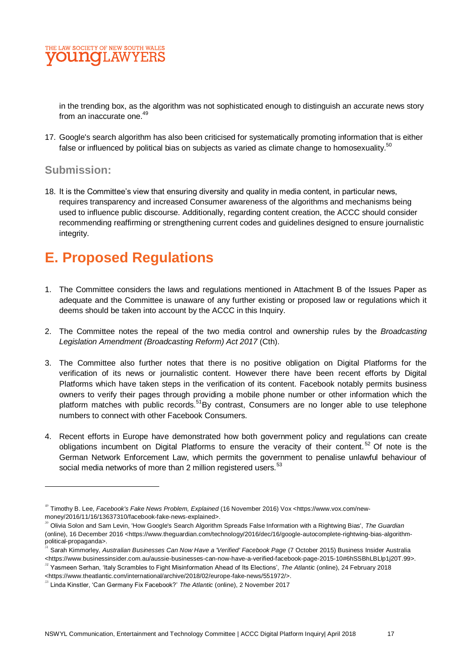

in the trending box, as the algorithm was not sophisticated enough to distinguish an accurate news story from an inaccurate one.<sup>49</sup>

17. Google's search algorithm has also been criticised for systematically promoting information that is either false or influenced by political bias on subjects as varied as climate change to homosexuality.<sup>50</sup>

#### **Submission:**

18. It is the Committee's view that ensuring diversity and quality in media content, in particular news, requires transparency and increased Consumer awareness of the algorithms and mechanisms being used to influence public discourse. Additionally, regarding content creation, the ACCC should consider recommending reaffirming or strengthening current codes and guidelines designed to ensure journalistic integrity.

# **E. Proposed Regulations**

- 1. The Committee considers the laws and regulations mentioned in Attachment B of the Issues Paper as adequate and the Committee is unaware of any further existing or proposed law or regulations which it deems should be taken into account by the ACCC in this Inquiry.
- 2. The Committee notes the repeal of the two media control and ownership rules by the *Broadcasting Legislation Amendment (Broadcasting Reform) Act 2017* (Cth).
- 3. The Committee also further notes that there is no positive obligation on Digital Platforms for the verification of its news or journalistic content. However there have been recent efforts by Digital Platforms which have taken steps in the verification of its content. Facebook notably permits business owners to verify their pages through providing a mobile phone number or other information which the platform matches with public records.<sup>51</sup>By contrast, Consumers are no longer able to use telephone numbers to connect with other Facebook Consumers.
- 4. Recent efforts in Europe have demonstrated how both government policy and regulations can create obligations incumbent on Digital Platforms to ensure the veracity of their content.<sup>52</sup> Of note is the German Network Enforcement Law, which permits the government to penalise unlawful behaviour of social media networks of more than 2 million registered users.<sup>53</sup>

<sup>49</sup> Timothy B. Lee, *Facebook's Fake News Problem, Explained* (16 November 2016) Vox <https://www.vox.com/newmoney/2016/11/16/13637310/facebook-fake-news-explained>.

<sup>50</sup> Olivia Solon and Sam Levin, 'How Google's Search Algorithm Spreads False Information with a Rightwing Bias', *The Guardian* (online), 16 December 2016 <https://www.theguardian.com/technology/2016/dec/16/google-autocomplete-rightwing-bias-algorithmpolitical-propaganda>.

<sup>51</sup> Sarah Kimmorley, *Australian Businesses Can Now Have a 'Verified' Facebook Page* (7 October 2015) Business Insider Australia <https://www.businessinsider.com.au/aussie-businesses-can-now-have-a-verified-facebook-page-2015-10#6hSSBhLBLlp1j20T.99>.

<sup>52</sup> Yasmeen Serhan, 'Italy Scrambles to Fight Misinformation Ahead of Its Elections', *The Atlantic* (online), 24 February 2018

<sup>&</sup>lt;https://www.theatlantic.com/international/archive/2018/02/europe-fake-news/551972/>.

<sup>53</sup> Linda Kinstler, 'Can Germany Fix Facebook?' *The Atlantic* (online), 2 November 2017